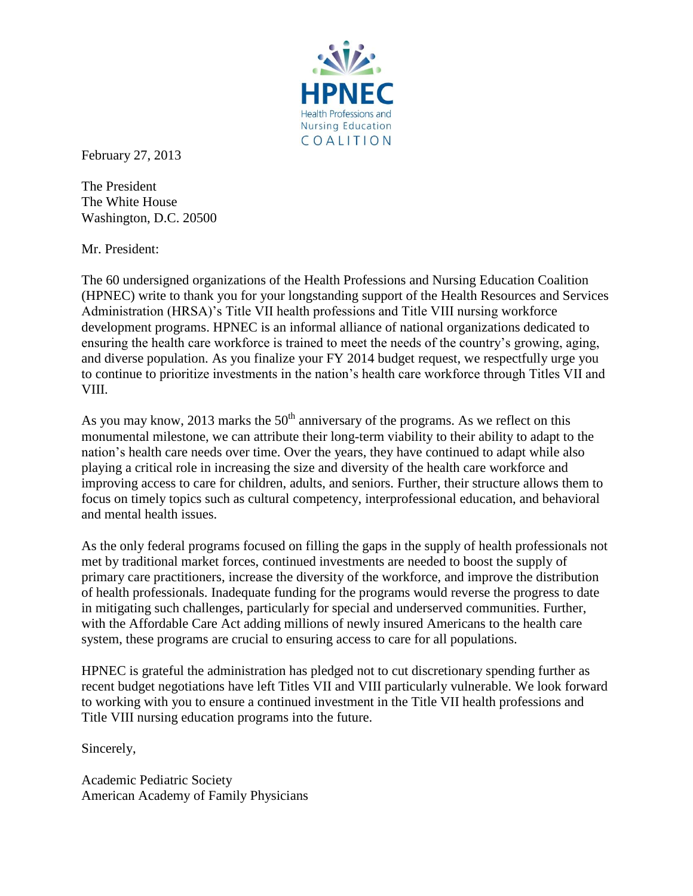

February 27, 2013

The President The White House Washington, D.C. 20500

Mr. President:

The 60 undersigned organizations of the Health Professions and Nursing Education Coalition (HPNEC) write to thank you for your longstanding support of the Health Resources and Services Administration (HRSA)'s Title VII health professions and Title VIII nursing workforce development programs. HPNEC is an informal alliance of national organizations dedicated to ensuring the health care workforce is trained to meet the needs of the country's growing, aging, and diverse population. As you finalize your FY 2014 budget request, we respectfully urge you to continue to prioritize investments in the nation's health care workforce through Titles VII and VIII.

As you may know, 2013 marks the  $50<sup>th</sup>$  anniversary of the programs. As we reflect on this monumental milestone, we can attribute their long-term viability to their ability to adapt to the nation's health care needs over time. Over the years, they have continued to adapt while also playing a critical role in increasing the size and diversity of the health care workforce and improving access to care for children, adults, and seniors. Further, their structure allows them to focus on timely topics such as cultural competency, interprofessional education, and behavioral and mental health issues.

As the only federal programs focused on filling the gaps in the supply of health professionals not met by traditional market forces, continued investments are needed to boost the supply of primary care practitioners, increase the diversity of the workforce, and improve the distribution of health professionals. Inadequate funding for the programs would reverse the progress to date in mitigating such challenges, particularly for special and underserved communities. Further, with the Affordable Care Act adding millions of newly insured Americans to the health care system, these programs are crucial to ensuring access to care for all populations.

HPNEC is grateful the administration has pledged not to cut discretionary spending further as recent budget negotiations have left Titles VII and VIII particularly vulnerable. We look forward to working with you to ensure a continued investment in the Title VII health professions and Title VIII nursing education programs into the future.

Sincerely,

Academic Pediatric Society American Academy of Family Physicians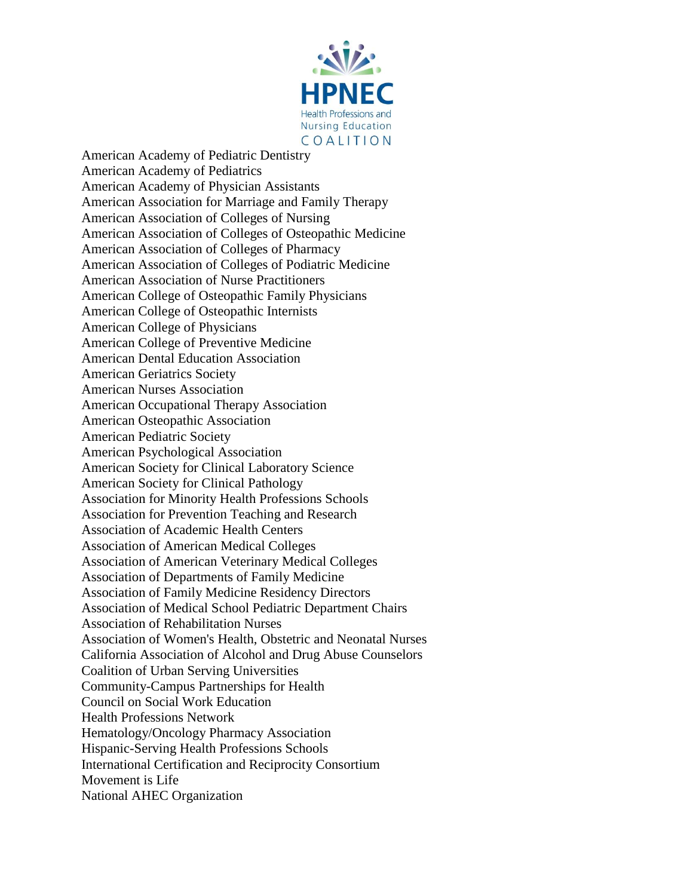

American Academy of Pediatric Dentistry American Academy of Pediatrics American Academy of Physician Assistants American Association for Marriage and Family Therapy American Association of Colleges of Nursing American Association of Colleges of Osteopathic Medicine American Association of Colleges of Pharmacy American Association of Colleges of Podiatric Medicine American Association of Nurse Practitioners American College of Osteopathic Family Physicians American College of Osteopathic Internists American College of Physicians American College of Preventive Medicine American Dental Education Association American Geriatrics Society American Nurses Association American Occupational Therapy Association American Osteopathic Association American Pediatric Society American Psychological Association American Society for Clinical Laboratory Science American Society for Clinical Pathology Association for Minority Health Professions Schools Association for Prevention Teaching and Research Association of Academic Health Centers Association of American Medical Colleges Association of American Veterinary Medical Colleges Association of Departments of Family Medicine Association of Family Medicine Residency Directors Association of Medical School Pediatric Department Chairs Association of Rehabilitation Nurses Association of Women's Health, Obstetric and Neonatal Nurses California Association of Alcohol and Drug Abuse Counselors Coalition of Urban Serving Universities Community-Campus Partnerships for Health Council on Social Work Education Health Professions Network Hematology/Oncology Pharmacy Association Hispanic-Serving Health Professions Schools International Certification and Reciprocity Consortium Movement is Life National AHEC Organization